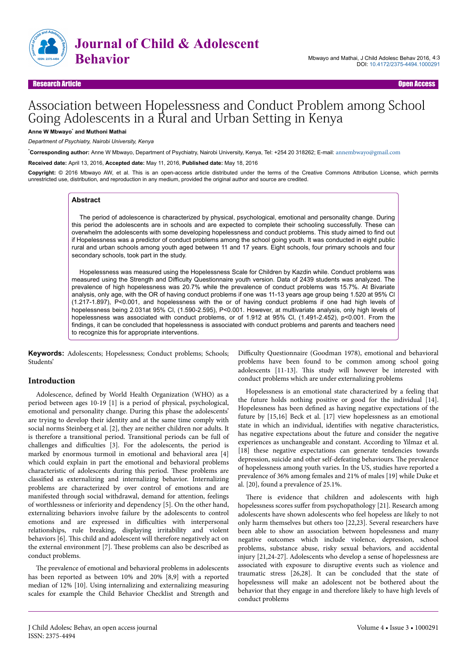

# Association between Hopelessness and Conduct Problem among School Going Adolescents in a Rural and Urban Setting in Kenya

#### **Anne W Mbwayo**\*  **and Muthoni Mathai**

*Department of Psychiatry, Nairobi University, Kenya*

\***Corresponding author:** Anne W Mbwayo, Department of Psychiatry, Nairobi University, Kenya, Tel: +254 20 318262; E-mail: [annembwayo@gmail.com](mailto:annembwayo@gmail.com)

**Received date:** April 13, 2016, **Accepted date:** May 11, 2016, **Published date:** May 18, 2016

**Copyright:** © 2016 Mbwayo AW, et al. This is an open-access article distributed under the terms of the Creative Commons Attribution License, which permits unrestricted use, distribution, and reproduction in any medium, provided the original author and source are credited.

#### **Abstract**

The period of adolescence is characterized by physical, psychological, emotional and personality change. During this period the adolescents are in schools and are expected to complete their schooling successfully. These can overwhelm the adolescents with some developing hopelessness and conduct problems. This study aimed to find out if Hopelessness was a predictor of conduct problems among the school going youth. It was conducted in eight public rural and urban schools among youth aged between 11 and 17 years. Eight schools, four primary schools and four secondary schools, took part in the study.

Hopelessness was measured using the Hopelessness Scale for Children by Kazdin while. Conduct problems was measured using the Strength and Difficulty Questionnaire youth version. Data of 2439 students was analyzed. The prevalence of high hopelessness was 20.7% while the prevalence of conduct problems was 15.7%. At Bivariate analysis, only age, with the OR of having conduct problems if one was 11-13 years age group being 1.520 at 95% Cl (1.217-1.897), P<0.001, and hopelessness with the or of having conduct problems if one had high levels of hopelessness being 2.031at 95% Cl, (1.590-2.595), P<0.001. However, at multivariate analysis, only high levels of hopelessness was associated with conduct problems, or of 1.912 at 95% Cl, (1.491-2.452), p<0.001. From the findings, it can be concluded that hopelessness is associated with conduct problems and parents and teachers need to recognize this for appropriate interventions.

**Keywords:** Adolescents; Hopelessness; Conduct problems; Schools; Students'

## **Introduction**

Adolescence, defined by World Health Organization (WHO) as a period between ages 10-19 [1] is a period of physical, psychological, emotional and personality change. During this phase the adolescents' are trying to develop their identity and at the same time comply with social norms Steinberg et al. [2], they are neither children nor adults. It is therefore a transitional period. Transitional periods can be full of challenges and difficulties [3]. For the adolescents, the period is marked by enormous turmoil in emotional and behavioral area [4] which could explain in part the emotional and behavioral problems characteristic of adolescents during this period. Нese problems are classified as externalizing and internalizing behavior. Internalizing problems are characterized by over control of emotions and are manifested through social withdrawal, demand for attention, feelings of worthlessness or inferiority and dependency [5]. On the other hand, externalizing behaviors involve failure by the adolescents to control emotions and are expressed in difficulties with interpersonal relationships, rule breaking, displaying irritability and violent behaviors [6]. Нis child and adolescent will therefore negatively act on the external environment [7]. Нese problems can also be described as conduct problems.

The prevalence of emotional and behavioral problems in adolescents has been reported as between 10% and 20% [8,9] with a reported median of 12% [10]. Using internalizing and externalizing measuring scales for example the Child Behavior Checklist and Strength and Difficulty Questionnaire (Goodman 1978), emotional and behavioral problems have been found to be common among school going adolescents [11-13]. Нis study will however be interested with conduct problems which are under externalizing problems

Hopelessness is an emotional state characterized by a feeling that the future holds nothing positive or good for the individual [14]. Hopelessness has been defined as having negative expectations of the future by [15,16] Beck et al. [17] view hopelessness as an emotional state in which an individual, identifies with negative characteristics, has negative expectations about the future and consider the negative experiences as unchangeable and constant. According to Yilmaz et al. [18] these negative expectations can generate tendencies towards depression, suicide and other self-defeating behaviours. Нe prevalence of hopelessness among youth varies. In the US, studies have reported a prevalence of 36% among females and 21% of males [19] while Duke et al. [20], found a prevalence of 25.1%.

There is evidence that children and adolescents with high hopelessness scores suffer from psychopathology [21]. Research among adolescents have shown adolescents who feel hopeless are likely to not only harm themselves but others too [22,23]. Several researchers have been able to show an association between hopelessness and many negative outcomes which include violence, depression, school problems, substance abuse, risky sexual behaviors, and accidental injury [21,24-27]. Adolescents who develop a sense of hopelessness are associated with exposure to disruptive events such as violence and traumatic stress [26,28]. It can be concluded that the state of hopelessness will make an adolescent not be bothered about the behavior that they engage in and therefore likely to have high levels of conduct problems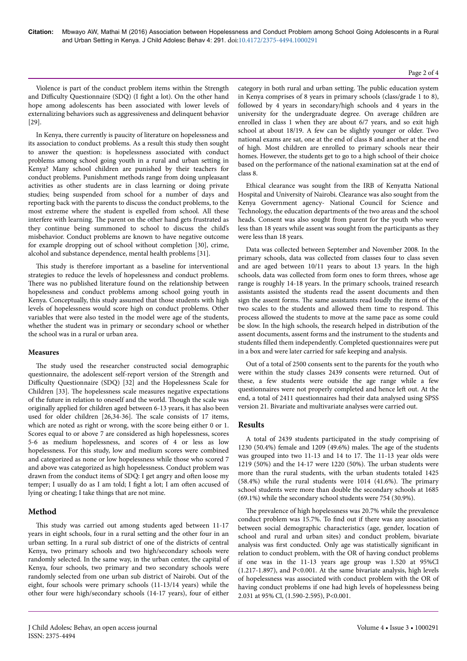## Page 2 of 4

Violence is part of the conduct problem items within the Strength and Difficulty Questionnaire (SDQ) (I fight a lot). On the other hand hope among adolescents has been associated with lower levels of externalizing behaviors such as aggressiveness and delinquent behavior [29].

In Kenya, there currently is paucity of literature on hopelessness and its association to conduct problems. As a result this study then sought to answer the question: is hopelessness associated with conduct problems among school going youth in a rural and urban setting in Kenya? Many school children are punished by their teachers for conduct problems. Punishment methods range from doing unpleasant activities as other students are in class learning or doing private studies; being suspended from school for a number of days and reporting back with the parents to discuss the conduct problems, to the most extreme where the student is expelled from school. All these interfere with learning. Нe parent on the other hand gets frustrated as they continue being summoned to school to discuss the child's misbehavior. Conduct problems are known to have negative outcome for example dropping out of school without completion [30], crime, alcohol and substance dependence, mental health problems [31].

This study is therefore important as a baseline for interventional strategies to reduce the levels of hopelessness and conduct problems. There was no published literature found on the relationship between hopelessness and conduct problems among school going youth in Kenya. Conceptually, this study assumed that those students with high levels of hopelessness would score high on conduct problems. Other variables that were also tested in the model were age of the students, whether the student was in primary or secondary school or whether the school was in a rural or urban area.

## **Measures**

The study used the researcher constructed social demographic questionnaire, the adolescent self-report version of the Strength and Difficulty Questionnaire (SDQ) [32] and the Hopelessness Scale for Children [33]. Нe hopelessness scale measures negative expectations of the future in relation to oneself and the world. Нough the scale was originally applied for children aged between 6-13 years, it has also been used for older children [26,34-36]. Нe scale consists of 17 items, which are noted as right or wrong, with the score being either 0 or 1. Scores equal to or above 7 are considered as high hopelessness, scores 5-6 as medium hopelessness, and scores of 4 or less as low hopelessness. For this study, low and medium scores were combined and categorized as none or low hopelessness while those who scored 7 and above was categorized as high hopelessness. Conduct problem was drawn from the conduct items of SDQ: I get angry and often loose my temper; I usually do as I am told; I fight a lot; I am often accused of lying or cheating; I take things that are not mine.

## **Method**

This study was carried out among students aged between 11-17 years in eight schools, four in a rural setting and the other four in an urban setting. In a rural sub district of one of the districts of central Kenya, two primary schools and two high/secondary schools were randomly selected. In the same way, in the urban center, the capital of Kenya, four schools, two primary and two secondary schools were randomly selected from one urban sub district of Nairobi. Out of the eight, four schools were primary schools (11-13/14 years) while the other four were high/secondary schools (14-17 years), four of either

category in both rural and urban setting. Нe public education system in Kenya comprises of 8 years in primary schools (class/grade 1 to 8), followed by 4 years in secondary/high schools and 4 years in the university for the undergraduate degree. On average children are enrolled in class 1 when they are about 6/7 years, and so exit high school at about 18/19. A few can be slightly younger or older. Two national exams are sat, one at the end of class 8 and another at the end of high. Most children are enrolled to primary schools near their homes. However, the students get to go to a high school of their choice based on the performance of the national examination sat at the end of class 8.

Ethical clearance was sought from the IRB of Kenyatta National Hospital and University of Nairobi. Clearance was also sought from the Kenya Government agency- National Council for Science and Technology, the education departments of the two areas and the school heads. Consent was also sought from parent for the youth who were less than 18 years while assent was sought from the participants as they were less than 18 years.

Data was collected between September and November 2008. In the primary schools, data was collected from classes four to class seven and are aged between 10/11 years to about 13 years. In the high schools, data was collected from form ones to form threes, whose age range is roughly 14-18 years. In the primary schools, trained research assistants assisted the students read the assent documents and then sign the assent forms. Нe same assistants read loudly the items of the two scales to the students and allowed them time to respond. Нis process allowed the students to move at the same pace as some could be slow. In the high schools, the research helped in distribution of the assent documents, assent forms and the instrument to the students and students filled them independently. Completed questionnaires were put in a box and were later carried for safe keeping and analysis.

Out of a total of 2500 consents sent to the parents for the youth who were within the study classes 2439 consents were returned. Out of these, a few students were outside the age range while a few questionnaires were not properly completed and hence left out. At the end, a total of 2411 questionnaires had their data analysed using SPSS version 21. Bivariate and multivariate analyses were carried out.

## **Results**

A total of 2439 students participated in the study comprising of 1230 (50.4%) female and 1209 (49.6%) males. Нe age of the students was grouped into two 11-13 and 14 to 17. Нe 11-13 year olds were 1219 (50%) and the 14-17 were 1220 (50%). Нe urban students were more than the rural students, with the urban students totaled 1425 (58.4%) while the rural students were 1014 (41.6%). Нe primary school students were more than double the secondary schools at 1685 (69.1%) while the secondary school students were 754 (30.9%).

The prevalence of high hopelessness was 20.7% while the prevalence conduct problem was 15.7%. To find out if there was any association between social demographic characteristics (age, gender, location of school and rural and urban sites) and conduct problem, bivariate analysis was first conducted. Only age was statistically significant in relation to conduct problem, with the OR of having conduct problems if one was in the 11-13 years age group was 1.520 at 95%Cl (1.217-1.897), and P<0.001. At the same bivariate analysis, high levels of hopelessness was associated with conduct problem with the OR of having conduct problems if one had high levels of hopelessness being 2.031 at 95% Cl, (1.590-2.595), P<0.001.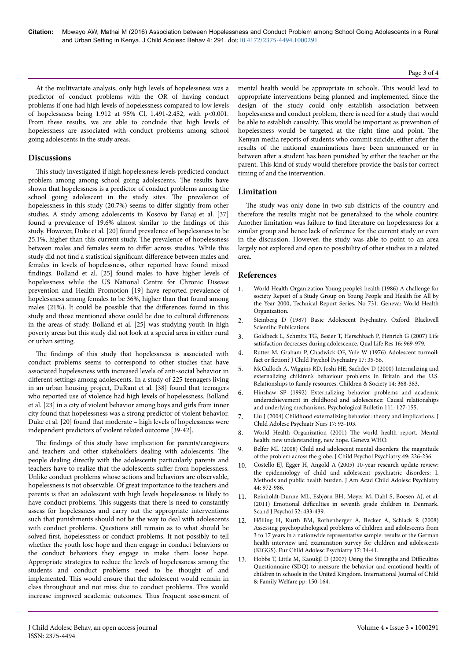#### Page 3 of 4

At the multivariate analysis, only high levels of hopelessness was a predictor of conduct problems with the OR of having conduct problems if one had high levels of hopelessness compared to low levels of hopelessness being 1.912 at 95% Cl, 1.491-2.452, with p<0.001. From these results, we are able to conclude that high levels of hopelessness are associated with conduct problems among school going adolescents in the study areas.

# **Discussions**

This study investigated if high hopelessness levels predicted conduct problem among among school going adolescents. Нe results have shown that hopelessness is a predictor of conduct problems among the school going adolescent in the study sites. Нe prevalence of hopelessness in this study (20.7%) seems to differ slightly from other studies. A study among adolescents in Kosovo by Fanaj et al. [37] found a prevalence of 19.6% almost similar to the findings of this study. However, Duke et al. [20] found prevalence of hopelessness to be 25.1%, higher than this current study. Нe prevalence of hopelessness between males and females seem to differ across studies. While this study did not find a statistical significant difference between males and females in levels of hopelessness, other reported have found mixed findings. Bolland et al. [25] found males to have higher levels of hopelessness while the US National Centre for Chronic Disease prevention and Health Promotion [19] have reported prevalence of hopelessness among females to be 36%, higher than that found among males (21%). It could be possible that the differences found in this study and those mentioned above could be due to cultural differences in the areas of study. Bolland et al. [25] was studying youth in high poverty areas but this study did not look at a special area in either rural or urban setting.

The findings of this study that hopelessness is associated with conduct problems seems to correspond to other studies that have associated hopelessness with increased levels of anti-social behavior in different settings among adolescents. In a study of 225 teenagers living in an urban housing project, DuRant et al. [38] found that teenagers who reported use of violence had high levels of hopelessness. Bolland et al. [23] in a city of violent behavior among boys and girls from inner city found that hopelessness was a strong predictor of violent behavior. Duke et al. [20] found that moderate – high levels of hopelessness were independent predictors of violent related outcome [39-42].

The findings of this study have implication for parents/caregivers and teachers and other stakeholders dealing with adolescents. Нe people dealing directly with the adolescents particularly parents and teachers have to realize that the adolescents suffer from hopelessness. Unlike conduct problems whose actions and behaviors are observable, hopelessness is not observable. Of great importance to the teachers and parents is that an adolescent with high levels hopelessness is likely to have conduct problems. This suggests that there is need to constantly assess for hopelessness and carry out the appropriate interventions such that punishments should not be the way to deal with adolescents with conduct problems. Questions still remain as to what should be solved first, hopelessness or conduct problems. It not possibly to tell whether the youth lose hope and then engage in conduct behaviors or the conduct behaviors they engage in make them loose hope. Appropriate strategies to reduce the levels of hopelessness among the students and conduct problems need to be thought of and implemented. Нis would ensure that the adolescent would remain in class throughout and not miss due to conduct problems. Нis would increase improved academic outcomes. Нus frequent assessment of mental health would be appropriate in schools. Нis would lead to appropriate interventions being planned and implemented. Since the design of the study could only establish association between hopelessness and conduct problem, there is need for a study that would be able to establish causality. Нis would be important as prevention of hopelessness would be targeted at the right time and point. The Kenyan media reports of students who commit suicide, either after the results of the national examinations have been announced or in between after a student has been punished by either the teacher or the parent. Нis kind of study would therefore provide the basis for correct timing of and the intervention.

# **Limitation**

The study was only done in two sub districts of the country and therefore the results might not be generalized to the whole country. Another limitation was failure to find literature on hopelessness for a similar group and hence lack of reference for the current study or even in the discussion. However, the study was able to point to an area largely not explored and open to possibility of other studies in a related area.

# **References**

- 1. World Health Organization Young people's health (1986) A challenge for society Report of a Study Group on Young People and Health for All by the Year 2000, Technical Report Series, No 731. Geneva: World Health Organization.
- 2. Steinberg D (1987) Basic Adolescent Psychiatry. Oxford: Blackwell Scientific Publications.
- 3. [Goldbeck L, Schmitz TG, Besier T, Herschbach P, Henrich G \(2007\) Life](http://www.ncbi.nlm.nih.gov/pubmed/17440827) [satisfaction decreases during adolescence. Qual Life Res 16: 969-979.](http://www.ncbi.nlm.nih.gov/pubmed/17440827)
- 4. [Rutter M, Graham P, Chadwick OF, Yule W \(1976\) Adolescent turmoil:](http://www.ncbi.nlm.nih.gov/pubmed/1249139) fact or fiction? [J Child Psychol Psychiatry 17: 35-56.](http://www.ncbi.nlm.nih.gov/pubmed/1249139)
- 5. McCulloch A, Wiggins RD, Joshi HE, Sachdev D (2000) Internalizing and externalizing children's behaviour problems in Britain and the U.S. Relationships to family resources. Children & Society 14: 368-383.
- 6. Hinshaw SP (1992) Externalizing behavior problems and academic underachievement in childhood and adolescence: Causal relationships and underlying mechanisms. Psychological Bulletin 111: 127-155.
- 7. [Liu J \(2004\) Childhood externalizing behavior: theory and implications. J](http://www.ncbi.nlm.nih.gov/pubmed/15535385) [Child Adolesc Psychiatr Nurs 17: 93-103.](http://www.ncbi.nlm.nih.gov/pubmed/15535385)
- 8. World Health Organization (2001) Нe world health report. Mental health: new understanding, new hope. Geneva WHO.
- 9. [Belfer ML \(2008\) Child and adolescent mental disorders: the magnitude](http://www.ncbi.nlm.nih.gov/pubmed/18221350) [of the problem across the globe. J Child Psychol Psychiatry 49: 226-236.](http://www.ncbi.nlm.nih.gov/pubmed/18221350)
- 10. [Costello EJ, Egger H, Angold A \(2005\) 10-year research update review:](http://www.ncbi.nlm.nih.gov/pubmed/16175102) [the epidemiology of child and adolescent psychiatric disorders: I.](http://www.ncbi.nlm.nih.gov/pubmed/16175102) [Methods and public health burden. J Am Acad Child Adolesc Psychiatry](http://www.ncbi.nlm.nih.gov/pubmed/16175102) [44: 972-986.](http://www.ncbi.nlm.nih.gov/pubmed/16175102)
- 11. Reinholdt-Dunne ML, Esbjørn BH, Møyer M, Dahl S, Boesen AJ, et al. (2011) Emotional difficulties in seventh grade children in Denmark. Scand J Psychol 52: 433-439.
- 12. [Hölling H, Kurth BM, Rothenberger A, Becker A, Schlack R \(2008\)](http://www.ncbi.nlm.nih.gov/pubmed/19132302) [Assessing psychopathological problems of children and adolescents from](http://www.ncbi.nlm.nih.gov/pubmed/19132302) [3 to 17 years in a nationwide representative sample: results of the German](http://www.ncbi.nlm.nih.gov/pubmed/19132302) [health interview and examination survey for children and adolescents](http://www.ncbi.nlm.nih.gov/pubmed/19132302) [\(KiGGS\). Eur Child Adolesc Psychiatry 17: 34-41.](http://www.ncbi.nlm.nih.gov/pubmed/19132302)
- Hobbs T, Little M, KaoukjI D (2007) Using the Strengths and Difficulties Questionnaire (SDQ) to measure the behavior and emotional health of children in schools in the United Kingdom. International Journal of Child & Family Welfare pp: 150-164.